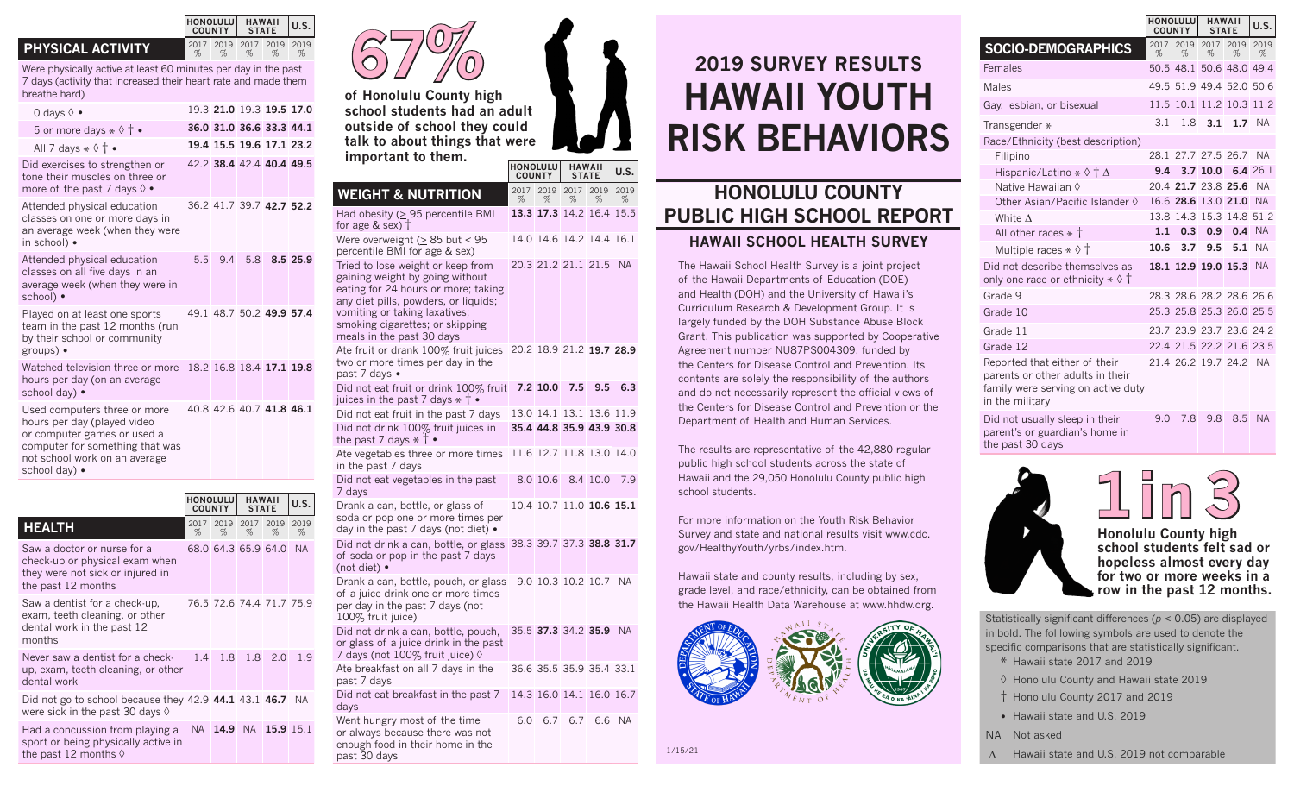## **PHYSICAL ACTIVITY**

Were physically active at least 60 minutes per day in the past 7 days (activity that increased their heart rate and made them breathe hard)

**HONOLULU COUNTY**

%

%

**HAWAII STATE U.S.**

%

2019 2017 2019 2019

% %

| 0 days $\Diamond \bullet$                                                                                                                                                       |    | 19.3 21.0 19.3 19.5 17.0 |                  |  |
|---------------------------------------------------------------------------------------------------------------------------------------------------------------------------------|----|--------------------------|------------------|--|
| 5 or more days $\ast \Diamond \uparrow \bullet$                                                                                                                                 |    | 36.0 31.0 36.6 33.3 44.1 |                  |  |
| All 7 days $\ast \Diamond \dagger \bullet$                                                                                                                                      |    | 19.4 15.5 19.6 17.1 23.2 |                  |  |
| Did exercises to strengthen or<br>tone their muscles on three or<br>more of the past 7 days $\lozenge$ .                                                                        |    | 42.2 38.4 42.4 40.4 49.5 |                  |  |
| Attended physical education<br>classes on one or more days in<br>an average week (when they were<br>in school) •                                                                |    | 36.2 41.7 39.7 42.7 52.2 |                  |  |
| Attended physical education<br>classes on all five days in an<br>average week (when they were in<br>school) •                                                                   | 55 |                          | 9.4 5.8 8.5 25.9 |  |
| Played on at least one sports<br>team in the past 12 months (run<br>by their school or community<br>groups) •                                                                   |    | 49.1 48.7 50.2 49.9 57.4 |                  |  |
| Watched television three or more<br>hours per day (on an average<br>school day) •                                                                                               |    | 18.2 16.8 18.4 17.1 19.8 |                  |  |
| Used computers three or more<br>hours per day (played video<br>or computer games or used a<br>computer for something that was<br>not school work on an average<br>school day) • |    | 40.8 42.6 40.7 41.8 46.1 |                  |  |





**of Honolulu County high school students had an adult outside of school they could talk to about things that were important to them.**

|                                                                                                                                                                                                                                                      | <b>HONOLULU</b><br><b>COUNTY</b> |                                 | <b>HAWAII</b><br><b>STATE</b> |           | U.S.      |
|------------------------------------------------------------------------------------------------------------------------------------------------------------------------------------------------------------------------------------------------------|----------------------------------|---------------------------------|-------------------------------|-----------|-----------|
| <b>WEIGHT &amp; NUTRITION</b>                                                                                                                                                                                                                        | 2017<br>%                        | %                               | 2019 2017<br>%                | 2019<br>% | 2019<br>% |
| Had obesity ( $\geq$ 95 percentile BMI<br>for age $&$ sex) $\dagger$                                                                                                                                                                                 |                                  | 13.3 17.3 14.2 16.4 15.5        |                               |           |           |
| Were overweight ( $\geq$ 85 but < 95<br>percentile BMI for age & sex)                                                                                                                                                                                |                                  | 14.0 14.6 14.2 14.4 16.1        |                               |           |           |
| Tried to lose weight or keep from<br>gaining weight by going without<br>eating for 24 hours or more; taking<br>any diet pills, powders, or liquids;<br>vomiting or taking laxatives;<br>smoking cigarettes; or skipping<br>meals in the past 30 days |                                  | 20.3 21.2 21.1 21.5             |                               |           | NA.       |
| Ate fruit or drank 100% fruit juices<br>two or more times per day in the<br>past 7 days •                                                                                                                                                            |                                  | 20.2 18.9 21.2 19.7 28.9        |                               |           |           |
| Did not eat fruit or drink 100% fruit<br>juices in the past 7 days $*$ $\dagger$ •                                                                                                                                                                   |                                  | 7.2 10.0 7.5                    |                               | 9.5       | 6.3       |
| Did not eat fruit in the past 7 days                                                                                                                                                                                                                 |                                  | 13.0 14.1 13.1 13.6 11.9        |                               |           |           |
| Did not drink 100% fruit juices in<br>the past 7 days $*$ $\dagger$ •                                                                                                                                                                                |                                  | 35.4 44.8 35.9 43.9 30.8        |                               |           |           |
| Ate vegetables three or more times<br>in the past 7 days                                                                                                                                                                                             |                                  | 11.6 12.7 11.8 13.0 14.0        |                               |           |           |
| Did not eat vegetables in the past<br>7 days                                                                                                                                                                                                         |                                  | 8.0 10.6 8.4 10.0               |                               |           | 7.9       |
| Drank a can, bottle, or glass of<br>soda or pop one or more times per<br>day in the past 7 days (not diet) •                                                                                                                                         |                                  | 10.4 10.7 11.0 <b>10.6 15.1</b> |                               |           |           |
| Did not drink a can, bottle, or glass<br>of soda or pop in the past 7 days<br>(not diet) $\bullet$                                                                                                                                                   | 38.3 39.7 37.3 38.8 31.7         |                                 |                               |           |           |
| Drank a can, bottle, pouch, or glass<br>of a juice drink one or more times<br>per day in the past 7 days (not<br>100% fruit juice)                                                                                                                   |                                  | 9.0 10.3 10.2 10.7 NA           |                               |           |           |
| Did not drink a can, bottle, pouch,<br>or glass of a juice drink in the past<br>7 days (not 100% fruit juice) ♦                                                                                                                                      |                                  | 35.5 37.3 34.2 35.9 NA          |                               |           |           |
| Ate breakfast on all 7 days in the<br>past 7 days                                                                                                                                                                                                    |                                  | 36.6 35.5 35.9 35.4 33.1        |                               |           |           |
| Did not eat breakfast in the past 7<br>days                                                                                                                                                                                                          |                                  | 14.3 16.0 14.1 16.0 16.7        |                               |           |           |
| Went hungry most of the time                                                                                                                                                                                                                         | 6.0                              |                                 | 6.7 6.7                       | 6.6       | <b>NA</b> |

## **2019 SURVEY RESULTS HAWAII YOUTH RISK BEHAVIORS**

## **HONOLULU COUNTY PUBLIC HIGH SCHOOL REPORT HAWAII SCHOOL HEALTH SURVEY**

The Hawaii School Health Survey is a joint project of the Hawaii Departments of Education (DOE) and Health (DOH) and the University of Hawaii's Curriculum Research & Development Group. It is largely funded by the DOH Substance Abuse Block Grant. This publication was supported by Cooperative Agreement number NU87PS004309, funded by the Centers for Disease Control and Prevention. Its contents are solely the responsibility of the authors and do not necessarily represent the official views of the Centers for Disease Control and Prevention or the Department of Health and Human Services.

The results are representative of the 42,880 regular public high school students across the state of Hawaii and the 29,050 Honolulu County public high school students.

For more information on the Youth Risk Behavior Survey and state and national results visit www.cdc. gov/HealthyYouth/yrbs/index.htm.

Hawaii state and county results, including by sex, grade level, and race/ethnicity, can be obtained from the Hawaii Health Data Warehouse at www.hhdw.org.



**HONOLULU COUNTY HAWAII STATE U.S. SOCIO-DEMOGRAPHICS** % 2019 2017 2019 2019 % % % Females 50.5 48.1 50.6 48.0 49.4 Males 49.5 51.9 49.4 52.0 50.6 Gay, lesbian, or bisexual 11.5 10.1 11.2 10.3 11.2 Transgender \* 3.1 1.8 **3.1 1.7** NA Race/Ethnicity (best description) Filipino 28.1 27.7 27.5 26.7 NA Hispanic/Latino \* ◊ † <sup>∆</sup> **9.4 3.7 10.0 6.4** 26.1 20.4 **21.7** 23.8 **25.6** NA Other Asian/Pacific Islander ◊ 16.6 **28.6** 13.0 **21.0** NA White ∆ 13.8 14.3 15.3 14.8 51.2

All other races  $*$  † **1.1 0.3 0.9 0.4** NA<br>Multiple races  $*$   $\circ$  † **10.6 3.7 9.5 5.1** NA

Grade 9 28.3 28.6 28.2 28.6 26.6 Grade 10 25.3 25.8 25.3 26.0 25.5 Grade 11 23.7 23.9 23.7 23.6 24.2 Grade 12 22.4 21.5 22.2 21.6 23.5

%

Reported that either of their parents or other adults in their family were serving on active duty in the military

**Multiple races**  $*$  **♦ 1** Did not describe themselves as only one race or ethnicity  $* \Diamond \dagger$ 

Did not usually sleep in their parent's or guardian's home in the past 30 days



**school students felt sad or hopeless almost every day for two or more weeks in a row in the past 12 months.**

**18.1 12.9 19.0 15.3** NA

21.4 26.2 19.7 24.2 NA

9.0 7.8 9.8 8.5 NA

Statistically significant differences (*p* < 0.05) are displayed in bold. The folllowing symbols are used to denote the specific comparisons that are statistically significant. \* Hawaii state 2017 and 2019

◊ Honolulu County and Hawaii state 2019 † Honolulu County 2017 and 2019

- Hawaii state and U.S. 2019
- NA Not asked

∆ Hawaii state and U.S. 2019 not comparable